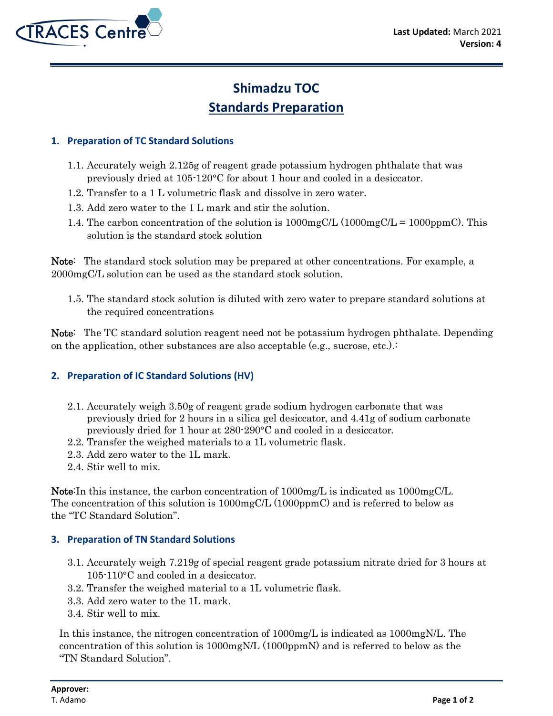

# **Shimadzu TOC Standards Preparation**

#### **1. Preparation of TC Standard Solutions**

- 1.1. Accurately weigh 2.125g of reagent grade potassium hydrogen phthalate that was previously dried at 105-120°C for about 1 hour and cooled in a desiccator.
- 1.2. Transfer to a 1 L volumetric flask and dissolve in zero water.
- 1.3. Add zero water to the 1 L mark and stir the solution.
- 1.4. The carbon concentration of the solution is  $1000mgCL (1000mgCL = 1000ppmC)$ . This solution is the standard stock solution

Note: The standard stock solution may be prepared at other concentrations. For example, a 2000mgC/L solution can be used as the standard stock solution.

1.5. The standard stock solution is diluted with zero water to prepare standard solutions at the required concentrations

Note: The TC standard solution reagent need not be potassium hydrogen phthalate. Depending on the application, other substances are also acceptable (e.g., sucrose, etc.).:

## **2. Preparation of IC Standard Solutions (HV)**

- 2.1. Accurately weigh 3.50g of reagent grade sodium hydrogen carbonate that was previously dried for 2 hours in a silica gel desiccator, and 4.41g of sodium carbonate previously dried for 1 hour at 280-290°C and cooled in a desiccator.
- 2.2. Transfer the weighed materials to a 1L volumetric flask.
- 2.3. Add zero water to the 1L mark.
- 2.4. Stir well to mix.

Note:In this instance, the carbon concentration of 1000mg/L is indicated as 1000mgC/L. The concentration of this solution is 1000mgC/L (1000ppmC) and is referred to below as the "TC Standard Solution".

## **3. Preparation of TN Standard Solutions**

- 3.1. Accurately weigh 7.219g of special reagent grade potassium nitrate dried for 3 hours at 105-110°C and cooled in a desiccator.
- 3.2. Transfer the weighed material to a 1L volumetric flask.
- 3.3. Add zero water to the 1L mark.
- 3.4. Stir well to mix.

In this instance, the nitrogen concentration of 1000mg/L is indicated as 1000mgN/L. The concentration of this solution is 1000mgN/L (1000ppmN) and is referred to below as the "TN Standard Solution".